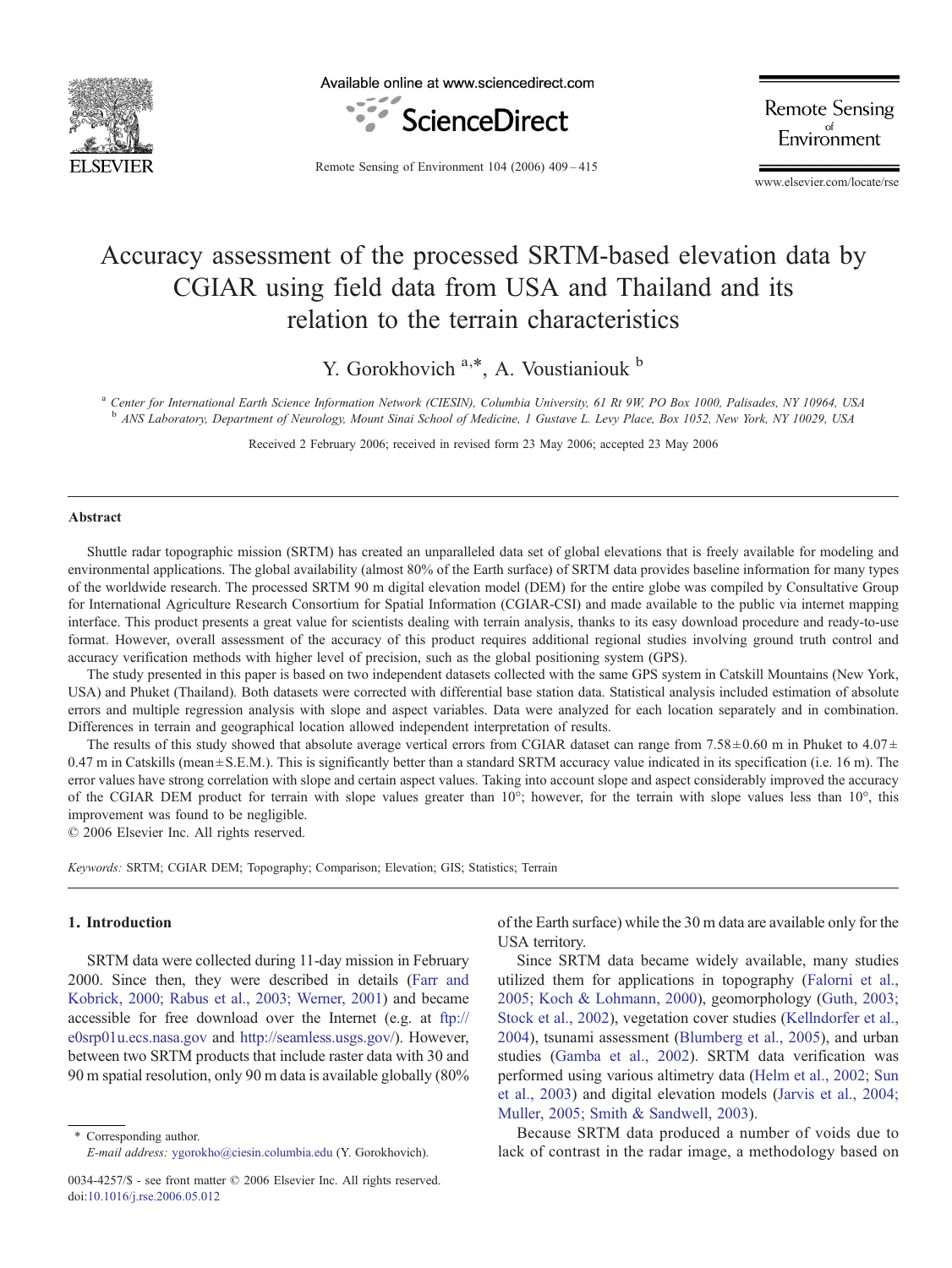

Available online at www.sciencedirect.com



**Remote Sensing** Environment

Remote Sensing of Environment 104 (2006) 409–415

www.elsevier.com/locate/rse

# Accuracy assessment of the processed SRTM-based elevation data by CGIAR using field data from USA and Thailand and its relation to the terrain characteristics

Y. Gorokhovich  $a, *$ , A. Voustianiouk  $b$ 

a Center for International Earth Science Information Network (CIESIN), Columbia University, 61 Rt 9W, PO Box 1000, Palisades, NY 10964, USA <sup>b</sup> ANS Laboratory, Department of Neurology, Mount Sinai School of Medicine, 1 Gustave L. Levy Place, Box 1052, New York, NY 10029, USA

Received 2 February 2006; received in revised form 23 May 2006; accepted 23 May 2006

#### Abstract

Shuttle radar topographic mission (SRTM) has created an unparalleled data set of global elevations that is freely available for modeling and environmental applications. The global availability (almost 80% of the Earth surface) of SRTM data provides baseline information for many types of the worldwide research. The processed SRTM 90 m digital elevation model (DEM) for the entire globe was compiled by Consultative Group for International Agriculture Research Consortium for Spatial Information (CGIAR-CSI) and made available to the public via internet mapping interface. This product presents a great value for scientists dealing with terrain analysis, thanks to its easy download procedure and ready-to-use format. However, overall assessment of the accuracy of this product requires additional regional studies involving ground truth control and accuracy verification methods with higher level of precision, such as the global positioning system (GPS).

The study presented in this paper is based on two independent datasets collected with the same GPS system in Catskill Mountains (New York, USA) and Phuket (Thailand). Both datasets were corrected with differential base station data. Statistical analysis included estimation of absolute errors and multiple regression analysis with slope and aspect variables. Data were analyzed for each location separately and in combination. Differences in terrain and geographical location allowed independent interpretation of results.

The results of this study showed that absolute average vertical errors from CGIAR dataset can range from  $7.58 \pm 0.60$  m in Phuket to  $4.07 \pm$  $0.47$  m in Catskills (mean  $\pm$  S.E.M.). This is significantly better than a standard SRTM accuracy value indicated in its specification (i.e. 16 m). The error values have strong correlation with slope and certain aspect values. Taking into account slope and aspect considerably improved the accuracy of the CGIAR DEM product for terrain with slope values greater than 10°; however, for the terrain with slope values less than 10°, this improvement was found to be negligible.

© 2006 Elsevier Inc. All rights reserved.

Keywords: SRTM; CGIAR DEM; Topography; Comparison; Elevation; GIS; Statistics; Terrain

# 1. Introduction

SRTM data were collected during 11-day mission in February 2000. Since then, they were described in details ([Farr and](#page-6-0) [Kobrick, 2000; Rabus et al., 2003; Werner, 2001](#page-6-0)) and became accessible for free download over the Internet (e.g. at [ftp://](ftp://e0srp01u.ecs.nasa.gov) [e0srp01u.ecs.nasa.gov](ftp://e0srp01u.ecs.nasa.gov) and [http://seamless.usgs.gov/\)](http://seamless.usgs.gov/). However, between two SRTM products that include raster data with 30 and 90 m spatial resolution, only 90 m data is available globally (80%

⁎ Corresponding author. E-mail address: [ygorokho@ciesin.columbia.edu](mailto:ygorokho@ciesin.columbia.edu) (Y. Gorokhovich). of the Earth surface) while the 30 m data are available only for the USA territory.

Since SRTM data became widely available, many studies utilized them for applications in topography [\(Falorni et al.,](#page-6-0) [2005; Koch & Lohmann, 2000](#page-6-0)), geomorphology [\(Guth, 2003;](#page-6-0) [Stock et al., 2002](#page-6-0)), vegetation cover studies ([Kellndorfer et al.,](#page-6-0) [2004](#page-6-0)), tsunami assessment [\(Blumberg et al., 2005\)](#page-6-0), and urban studies ([Gamba et al., 2002\)](#page-6-0). SRTM data verification was performed using various altimetry data [\(Helm et al., 2002; Sun](#page-6-0) [et al., 2003\)](#page-6-0) and digital elevation models ([Jarvis et al., 2004;](#page-6-0) [Muller, 2005; Smith & Sandwell, 2003\)](#page-6-0).

Because SRTM data produced a number of voids due to lack of contrast in the radar image, a methodology based on

<sup>0034-4257/\$ -</sup> see front matter © 2006 Elsevier Inc. All rights reserved. doi:[10.1016/j.rse.2006.05.012](http://dx.doi.org/10.1016/j.rse.2006.05.012)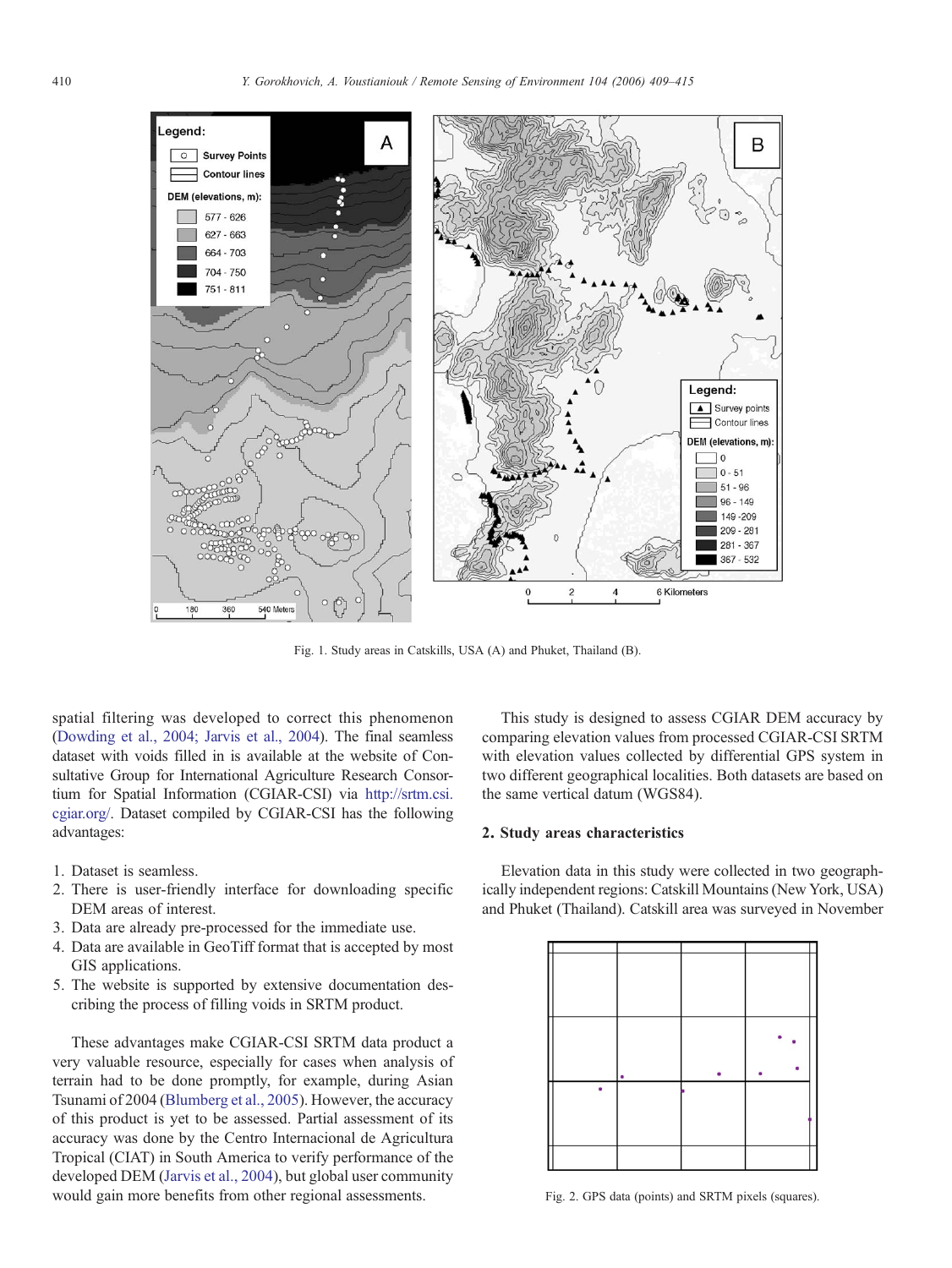<span id="page-1-0"></span>

Fig. 1. Study areas in Catskills, USA (A) and Phuket, Thailand (B).

spatial filtering was developed to correct this phenomenon ([Dowding et al., 2004; Jarvis et al., 2004\)](#page-6-0). The final seamless dataset with voids filled in is available at the website of Consultative Group for International Agriculture Research Consortium for Spatial Information (CGIAR-CSI) via [http://srtm.csi.](http://srtm.csi.cgiar.org/) [cgiar.org/.](http://srtm.csi.cgiar.org/) Dataset compiled by CGIAR-CSI has the following advantages:

- 1. Dataset is seamless.
- 2. There is user-friendly interface for downloading specific DEM areas of interest.
- 3. Data are already pre-processed for the immediate use.
- 4. Data are available in GeoTiff format that is accepted by most GIS applications.
- 5. The website is supported by extensive documentation describing the process of filling voids in SRTM product.

These advantages make CGIAR-CSI SRTM data product a very valuable resource, especially for cases when analysis of terrain had to be done promptly, for example, during Asian Tsunami of 2004 [\(Blumberg et al., 2005](#page-6-0)). However, the accuracy of this product is yet to be assessed. Partial assessment of its accuracy was done by the Centro Internacional de Agricultura Tropical (CIAT) in South America to verify performance of the developed DEM ([Jarvis et al., 2004\)](#page-6-0), but global user community would gain more benefits from other regional assessments.

This study is designed to assess CGIAR DEM accuracy by comparing elevation values from processed CGIAR-CSI SRTM with elevation values collected by differential GPS system in two different geographical localities. Both datasets are based on the same vertical datum (WGS84).

## 2. Study areas characteristics

Elevation data in this study were collected in two geographically independent regions: Catskill Mountains (New York, USA) and Phuket (Thailand). Catskill area was surveyed in November



Fig. 2. GPS data (points) and SRTM pixels (squares).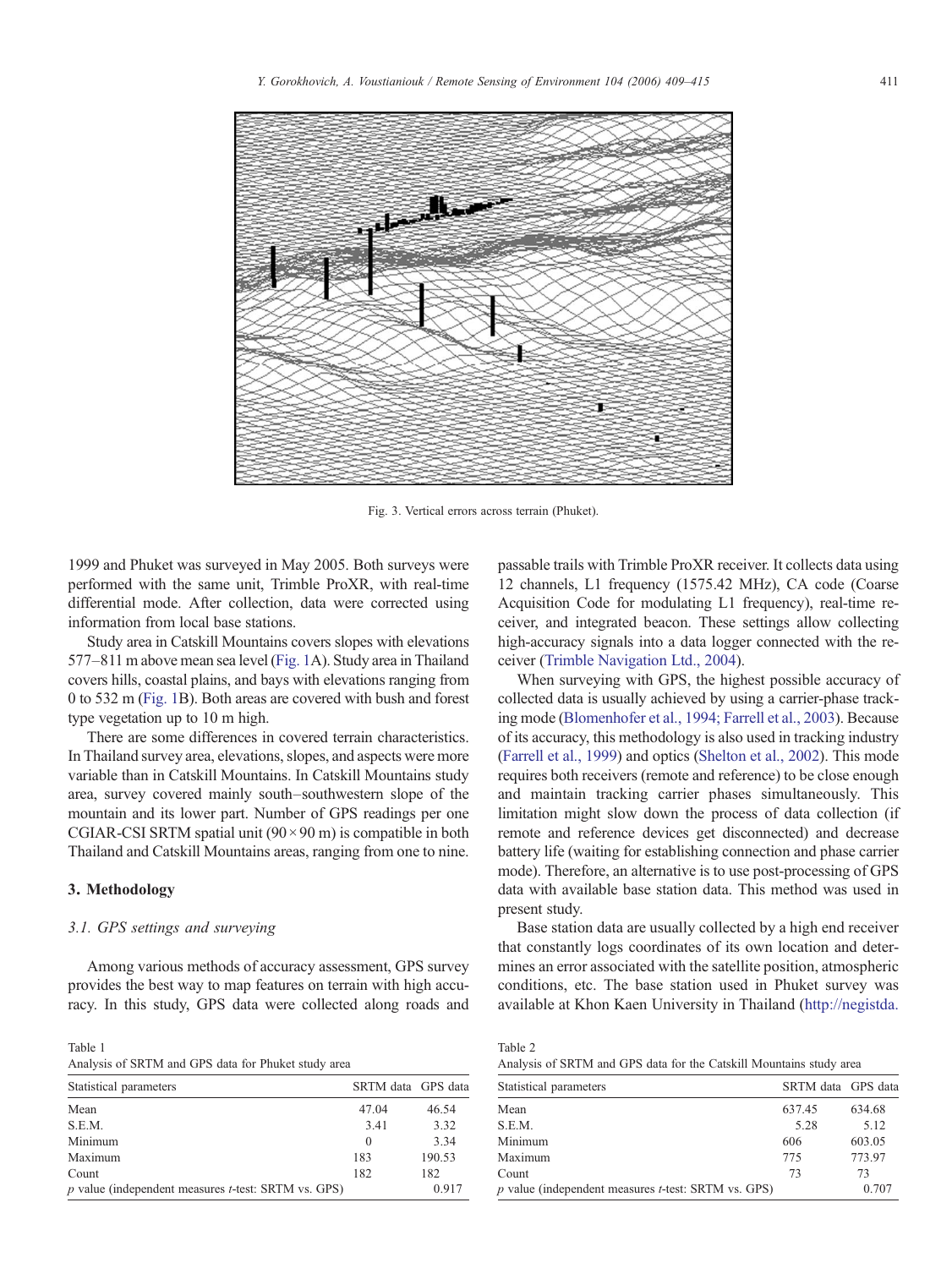<span id="page-2-0"></span>

Fig. 3. Vertical errors across terrain (Phuket).

Table 2

1999 and Phuket was surveyed in May 2005. Both surveys were performed with the same unit, Trimble ProXR, with real-time differential mode. After collection, data were corrected using information from local base stations.

Study area in Catskill Mountains covers slopes with elevations 577–811 m above mean sea level ([Fig. 1](#page-1-0)A). Study area in Thailand covers hills, coastal plains, and bays with elevations ranging from 0 to 532 m ([Fig. 1B](#page-1-0)). Both areas are covered with bush and forest type vegetation up to 10 m high.

There are some differences in covered terrain characteristics. In Thailand survey area, elevations, slopes, and aspects were more variable than in Catskill Mountains. In Catskill Mountains study area, survey covered mainly south–southwestern slope of the mountain and its lower part. Number of GPS readings per one CGIAR-CSI SRTM spatial unit  $(90 \times 90 \text{ m})$  is compatible in both Thailand and Catskill Mountains areas, ranging from one to nine.

## 3. Methodology

# 3.1. GPS settings and surveying

Among various methods of accuracy assessment, GPS survey provides the best way to map features on terrain with high accuracy. In this study, GPS data were collected along roads and

Table 1 Analysis of SRTM and GPS data for Phuket study area

| Statistical parameters                                   | SRTM data GPS data |        |
|----------------------------------------------------------|--------------------|--------|
| Mean                                                     | 47.04              | 46.54  |
| S.E.M.                                                   | 3.41               | 3.32   |
| Minimum                                                  | $\theta$           | 3.34   |
| Maximum                                                  | 183                | 190.53 |
| Count                                                    | 182                | 182    |
| $p$ value (independent measures $t$ -test: SRTM vs. GPS) |                    | 0.917  |

passable trails with Trimble ProXR receiver. It collects data using 12 channels, L1 frequency (1575.42 MHz), CA code (Coarse Acquisition Code for modulating L1 frequency), real-time receiver, and integrated beacon. These settings allow collecting high-accuracy signals into a data logger connected with the receiver ([Trimble Navigation Ltd., 2004\)](#page-6-0).

When surveying with GPS, the highest possible accuracy of collected data is usually achieved by using a carrier-phase tracking mode ([Blomenhofer et al., 1994; Farrell et al., 2003\)](#page-6-0). Because of its accuracy, this methodology is also used in tracking industry ([Farrell et al., 1999](#page-6-0)) and optics [\(Shelton et al., 2002\)](#page-6-0). This mode requires both receivers (remote and reference) to be close enough and maintain tracking carrier phases simultaneously. This limitation might slow down the process of data collection (if remote and reference devices get disconnected) and decrease battery life (waiting for establishing connection and phase carrier mode). Therefore, an alternative is to use post-processing of GPS data with available base station data. This method was used in present study.

Base station data are usually collected by a high end receiver that constantly logs coordinates of its own location and determines an error associated with the satellite position, atmospheric conditions, etc. The base station used in Phuket survey was available at Khon Kaen University in Thailand ([http://negistda.](http://negistda.kku.ac.th/gps/gpsen.html)

| $10010 -$ |  |  |  |  |                                                                     |  |
|-----------|--|--|--|--|---------------------------------------------------------------------|--|
|           |  |  |  |  | Analysis of SRTM and GPS data for the Catskill Mountains study area |  |

| Statistical parameters                                   | SRTM data GPS data |        |  |
|----------------------------------------------------------|--------------------|--------|--|
| Mean                                                     | 637.45             | 634.68 |  |
| S.E.M.                                                   | 5.28               | 5.12   |  |
| Minimum                                                  | 606                | 603.05 |  |
| Maximum                                                  | 775                | 773.97 |  |
| Count                                                    | 73                 | 73     |  |
| $p$ value (independent measures $t$ -test: SRTM vs. GPS) |                    |        |  |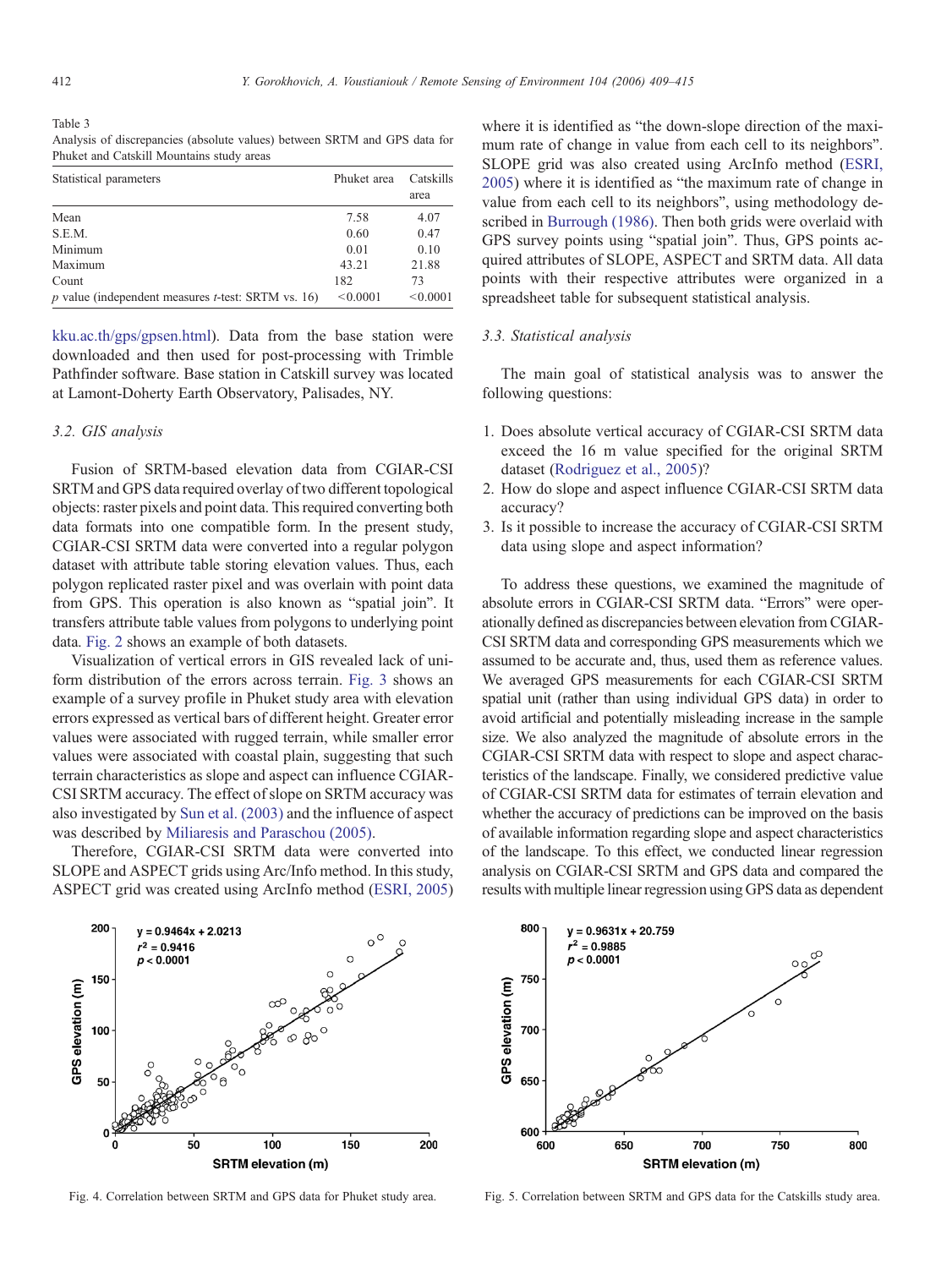<span id="page-3-0"></span>Table 3 Analysis of discrepancies (absolute values) between SRTM and GPS data for Phuket and Catskill Mountains study areas

| Statistical parameters                                | Phuket area | Catskills |
|-------------------------------------------------------|-------------|-----------|
|                                                       |             | area      |
| Mean                                                  | 7.58        | 4.07      |
| S.E.M.                                                | 0.60        | 0.47      |
| Minimum                                               | 0.01        | 0.10      |
| Maximum                                               | 43.21       | 21.88     |
| Count                                                 | 182         | 73        |
| p value (independent measures $t$ -test: SRTM vs. 16) | < 0.0001    | < 0.0001  |

[kku.ac.th/gps/gpsen.html](http://negistda.kku.ac.th/gps/gpsen.html)). Data from the base station were downloaded and then used for post-processing with Trimble Pathfinder software. Base station in Catskill survey was located at Lamont-Doherty Earth Observatory, Palisades, NY.

# 3.2. GIS analysis

Fusion of SRTM-based elevation data from CGIAR-CSI SRTM and GPS data required overlay of two different topological objects: raster pixels and point data. This required converting both data formats into one compatible form. In the present study, CGIAR-CSI SRTM data were converted into a regular polygon dataset with attribute table storing elevation values. Thus, each polygon replicated raster pixel and was overlain with point data from GPS. This operation is also known as "spatial join". It transfers attribute table values from polygons to underlying point data. [Fig. 2](#page-1-0) shows an example of both datasets.

Visualization of vertical errors in GIS revealed lack of uniform distribution of the errors across terrain. [Fig. 3](#page-2-0) shows an example of a survey profile in Phuket study area with elevation errors expressed as vertical bars of different height. Greater error values were associated with rugged terrain, while smaller error values were associated with coastal plain, suggesting that such terrain characteristics as slope and aspect can influence CGIAR-CSI SRTM accuracy. The effect of slope on SRTM accuracy was also investigated by [Sun et al. \(2003\)](#page-6-0) and the influence of aspect was described by [Miliaresis and Paraschou \(2005\).](#page-6-0)

Therefore, CGIAR-CSI SRTM data were converted into SLOPE and ASPECT grids using Arc/Info method. In this study, ASPECT grid was created using ArcInfo method ([ESRI, 2005\)](#page-6-0) where it is identified as "the down-slope direction of the maximum rate of change in value from each cell to its neighbors". SLOPE grid was also created using ArcInfo method ([ESRI,](#page-6-0) [2005\)](#page-6-0) where it is identified as "the maximum rate of change in value from each cell to its neighbors", using methodology described in [Burrough \(1986\)](#page-6-0). Then both grids were overlaid with GPS survey points using "spatial join". Thus, GPS points acquired attributes of SLOPE, ASPECT and SRTM data. All data points with their respective attributes were organized in a spreadsheet table for subsequent statistical analysis.

#### 3.3. Statistical analysis

The main goal of statistical analysis was to answer the following questions:

- 1. Does absolute vertical accuracy of CGIAR-CSI SRTM data exceed the 16 m value specified for the original SRTM dataset [\(Rodriguez et al., 2005\)](#page-6-0)?
- 2. How do slope and aspect influence CGIAR-CSI SRTM data accuracy?
- 3. Is it possible to increase the accuracy of CGIAR-CSI SRTM data using slope and aspect information?

To address these questions, we examined the magnitude of absolute errors in CGIAR-CSI SRTM data. "Errors" were operationally defined as discrepancies between elevation from CGIAR-CSI SRTM data and corresponding GPS measurements which we assumed to be accurate and, thus, used them as reference values. We averaged GPS measurements for each CGIAR-CSI SRTM spatial unit (rather than using individual GPS data) in order to avoid artificial and potentially misleading increase in the sample size. We also analyzed the magnitude of absolute errors in the CGIAR-CSI SRTM data with respect to slope and aspect characteristics of the landscape. Finally, we considered predictive value of CGIAR-CSI SRTM data for estimates of terrain elevation and whether the accuracy of predictions can be improved on the basis of available information regarding slope and aspect characteristics of the landscape. To this effect, we conducted linear regression analysis on CGIAR-CSI SRTM and GPS data and compared the results with multiple linear regression using GPS data as dependent





Fig. 4. Correlation between SRTM and GPS data for Phuket study area. Fig. 5. Correlation between SRTM and GPS data for the Catskills study area.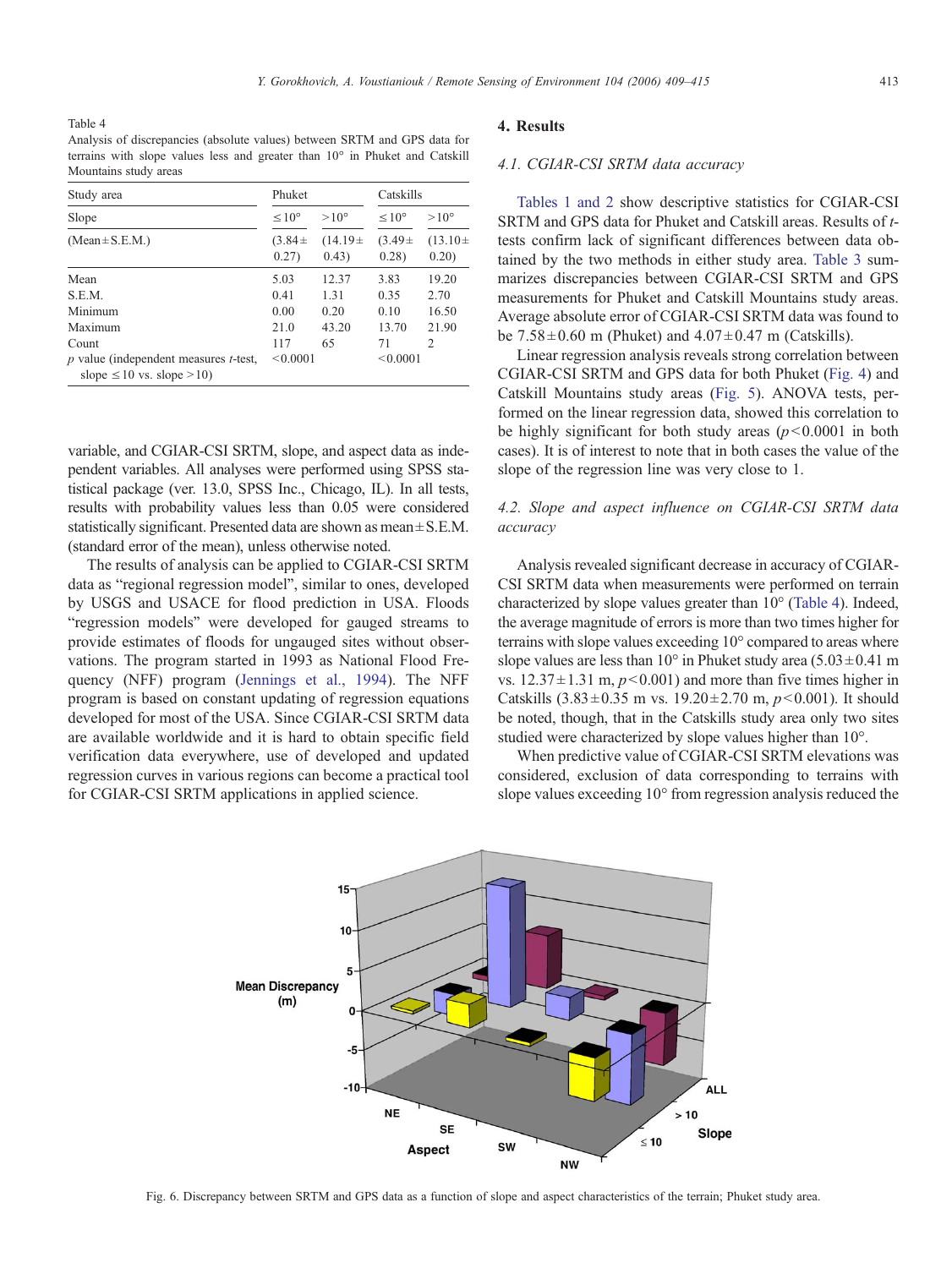<span id="page-4-0"></span>Table 4 Analysis of discrepancies (absolute values) between SRTM and GPS data for terrains with slope values less and greater than 10° in Phuket and Catskill Mountains study areas

| Study area                                                                      | Phuket               |                        | Catskills            |                                        |  |
|---------------------------------------------------------------------------------|----------------------|------------------------|----------------------|----------------------------------------|--|
| Slope                                                                           | $< 10^{\circ}$       | $>10^{\circ}$          | $< 10^{\circ}$       | $>10^{\circ}$<br>$(13.10 \pm$<br>0.20) |  |
| $(Mean \pm S.E.M.)$                                                             | $(3.84 \pm$<br>0.27) | $(14.19 \pm$<br>(0.43) | $(3.49 \pm$<br>0.28) |                                        |  |
| Mean                                                                            | 5.03                 | 12.37                  | 3.83                 | 19.20                                  |  |
| S.E.M.                                                                          | 0.41                 | 1.31                   | 0.35                 | 2.70                                   |  |
| Minimum                                                                         | 0.00                 | 0.20                   | 0.10                 | 16.50                                  |  |
| Maximum                                                                         | 21.0                 | 43.20                  | 13.70                | 21.90                                  |  |
| Count                                                                           | 117                  | 65                     | 71                   | 2                                      |  |
| $p$ value (independent measures $t$ -test,<br>slope $\leq 10$ vs. slope $>10$ ) | < 0.0001             |                        | < 0.0001             |                                        |  |

variable, and CGIAR-CSI SRTM, slope, and aspect data as independent variables. All analyses were performed using SPSS statistical package (ver. 13.0, SPSS Inc., Chicago, IL). In all tests, results with probability values less than 0.05 were considered statistically significant. Presented data are shown as mean $\pm$  S.E.M. (standard error of the mean), unless otherwise noted.

The results of analysis can be applied to CGIAR-CSI SRTM data as "regional regression model", similar to ones, developed by USGS and USACE for flood prediction in USA. Floods "regression models" were developed for gauged streams to provide estimates of floods for ungauged sites without observations. The program started in 1993 as National Flood Frequency (NFF) program ([Jennings et al., 1994](#page-6-0)). The NFF program is based on constant updating of regression equations developed for most of the USA. Since CGIAR-CSI SRTM data are available worldwide and it is hard to obtain specific field verification data everywhere, use of developed and updated regression curves in various regions can become a practical tool for CGIAR-CSI SRTM applications in applied science.

## 4. Results

#### 4.1. CGIAR-CSI SRTM data accuracy

[Tables 1 and 2](#page-2-0) show descriptive statistics for CGIAR-CSI SRTM and GPS data for Phuket and Catskill areas. Results of ttests confirm lack of significant differences between data obtained by the two methods in either study area. [Table 3](#page-3-0) summarizes discrepancies between CGIAR-CSI SRTM and GPS measurements for Phuket and Catskill Mountains study areas. Average absolute error of CGIAR-CSI SRTM data was found to be  $7.58 \pm 0.60$  m (Phuket) and  $4.07 \pm 0.47$  m (Catskills).

Linear regression analysis reveals strong correlation between CGIAR-CSI SRTM and GPS data for both Phuket ([Fig. 4](#page-3-0)) and Catskill Mountains study areas ([Fig. 5\)](#page-3-0). ANOVA tests, performed on the linear regression data, showed this correlation to be highly significant for both study areas  $(p<0.0001$  in both cases). It is of interest to note that in both cases the value of the slope of the regression line was very close to 1.

# 4.2. Slope and aspect influence on CGIAR-CSI SRTM data accuracy

Analysis revealed significant decrease in accuracy of CGIAR-CSI SRTM data when measurements were performed on terrain characterized by slope values greater than 10° (Table 4). Indeed, the average magnitude of errors is more than two times higher for terrains with slope values exceeding 10° compared to areas where slope values are less than 10 $\degree$  in Phuket study area (5.03 $\pm$ 0.41 m vs.  $12.37 \pm 1.31$  m,  $p < 0.001$ ) and more than five times higher in Catskills  $(3.83 \pm 0.35 \text{ m vs. } 19.20 \pm 2.70 \text{ m}, p < 0.001)$ . It should be noted, though, that in the Catskills study area only two sites studied were characterized by slope values higher than 10°.

When predictive value of CGIAR-CSI SRTM elevations was considered, exclusion of data corresponding to terrains with slope values exceeding 10° from regression analysis reduced the



Fig. 6. Discrepancy between SRTM and GPS data as a function of slope and aspect characteristics of the terrain; Phuket study area.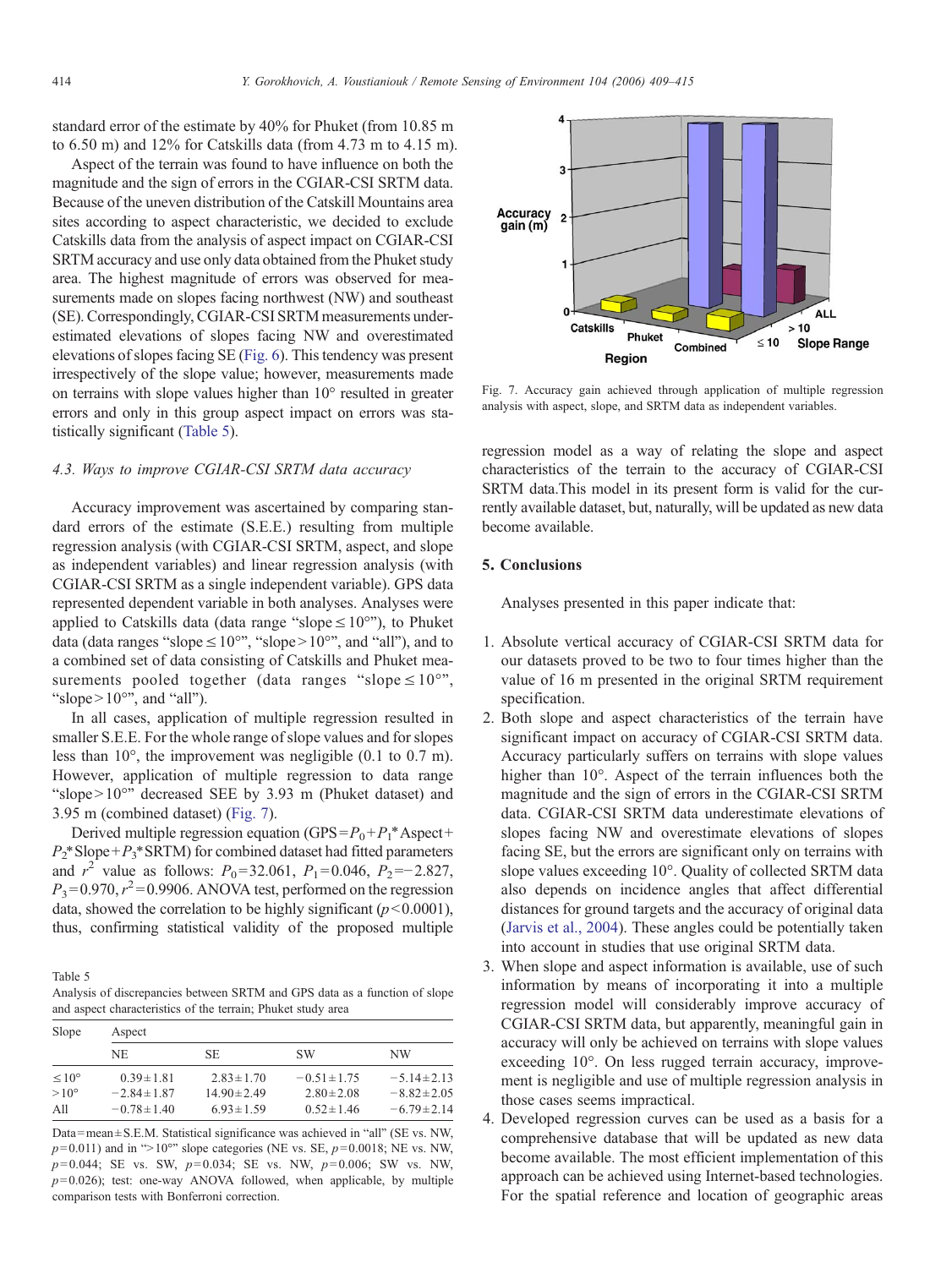standard error of the estimate by 40% for Phuket (from 10.85 m to 6.50 m) and 12% for Catskills data (from 4.73 m to 4.15 m).

Aspect of the terrain was found to have influence on both the magnitude and the sign of errors in the CGIAR-CSI SRTM data. Because of the uneven distribution of the Catskill Mountains area sites according to aspect characteristic, we decided to exclude Catskills data from the analysis of aspect impact on CGIAR-CSI SRTM accuracy and use only data obtained from the Phuket study area. The highest magnitude of errors was observed for measurements made on slopes facing northwest (NW) and southeast (SE). Correspondingly, CGIAR-CSI SRTM measurements underestimated elevations of slopes facing NW and overestimated elevations of slopes facing SE ([Fig. 6\)](#page-4-0). This tendency was present irrespectively of the slope value; however, measurements made on terrains with slope values higher than 10° resulted in greater errors and only in this group aspect impact on errors was statistically significant (Table 5).

## 4.3. Ways to improve CGIAR-CSI SRTM data accuracy

Accuracy improvement was ascertained by comparing standard errors of the estimate (S.E.E.) resulting from multiple regression analysis (with CGIAR-CSI SRTM, aspect, and slope as independent variables) and linear regression analysis (with CGIAR-CSI SRTM as a single independent variable). GPS data represented dependent variable in both analyses. Analyses were applied to Catskills data (data range "slope  $\leq 10^{\circ}$ "), to Phuket data (data ranges "slope  $\leq 10^{\circ}$ ", "slope  $> 10^{\circ}$ ", and "all"), and to a combined set of data consisting of Catskills and Phuket measurements pooled together (data ranges "slope  $\leq 10^{\circ}$ ", "slope  $> 10^{\circ}$ ", and "all").

In all cases, application of multiple regression resulted in smaller S.E.E. For the whole range of slope values and for slopes less than 10°, the improvement was negligible (0.1 to 0.7 m). However, application of multiple regression to data range "slope > 10°" decreased SEE by 3.93 m (Phuket dataset) and 3.95 m (combined dataset) (Fig. 7).

Derived multiple regression equation (GPS =  $P_0 + P_1^*$  Aspect +  $P_2^*$ Slope+ $P_3^*$ SRTM) for combined dataset had fitted parameters and  $r^2$  value as follows:  $P_0 = 32.061$ ,  $P_1 = 0.046$ ,  $P_2 = -2.827$ ,  $P_3 = 0.970, r^2 = 0.9906$ . ANOVA test, performed on the regression data, showed the correlation to be highly significant  $(p<0.0001)$ , thus, confirming statistical validity of the proposed multiple

Table 5

Analysis of discrepancies between SRTM and GPS data as a function of slope and aspect characteristics of the terrain; Phuket study area

| Slope             | Aspect           |                  |                  |                  |  |  |  |  |
|-------------------|------------------|------------------|------------------|------------------|--|--|--|--|
|                   | NE               | SE.              | <b>SW</b>        | NW               |  |  |  |  |
| $\leq 10^{\circ}$ | $0.39 \pm 1.81$  | $2.83 \pm 1.70$  | $-0.51 \pm 1.75$ | $-5.14 \pm 2.13$ |  |  |  |  |
| $>10^{\circ}$     | $-2.84 \pm 1.87$ | $14.90 \pm 2.49$ | $2.80 \pm 2.08$  | $-8.82 \pm 2.05$ |  |  |  |  |
| All               | $-0.78 \pm 1.40$ | $6.93 \pm 1.59$  | $0.52 \pm 1.46$  | $-6.79 \pm 2.14$ |  |  |  |  |

Data = mean  $\pm$  S.E.M. Statistical significance was achieved in "all" (SE vs. NW,  $p= 0.011$ ) and in ">10°" slope categories (NE vs. SE,  $p= 0.0018$ ; NE vs. NW,  $p= 0.044$ ; SE vs. SW,  $p= 0.034$ ; SE vs. NW,  $p= 0.006$ ; SW vs. NW,  $p= 0.026$ ); test: one-way ANOVA followed, when applicable, by multiple comparison tests with Bonferroni correction.



Fig. 7. Accuracy gain achieved through application of multiple regression analysis with aspect, slope, and SRTM data as independent variables.

regression model as a way of relating the slope and aspect characteristics of the terrain to the accuracy of CGIAR-CSI SRTM data.This model in its present form is valid for the currently available dataset, but, naturally, will be updated as new data become available.

# 5. Conclusions

Analyses presented in this paper indicate that:

- 1. Absolute vertical accuracy of CGIAR-CSI SRTM data for our datasets proved to be two to four times higher than the value of 16 m presented in the original SRTM requirement specification.
- 2. Both slope and aspect characteristics of the terrain have significant impact on accuracy of CGIAR-CSI SRTM data. Accuracy particularly suffers on terrains with slope values higher than 10<sup>°</sup>. Aspect of the terrain influences both the magnitude and the sign of errors in the CGIAR-CSI SRTM data. CGIAR-CSI SRTM data underestimate elevations of slopes facing NW and overestimate elevations of slopes facing SE, but the errors are significant only on terrains with slope values exceeding 10°. Quality of collected SRTM data also depends on incidence angles that affect differential distances for ground targets and the accuracy of original data ([Jarvis et al., 2004\)](#page-6-0). These angles could be potentially taken into account in studies that use original SRTM data.
- 3. When slope and aspect information is available, use of such information by means of incorporating it into a multiple regression model will considerably improve accuracy of CGIAR-CSI SRTM data, but apparently, meaningful gain in accuracy will only be achieved on terrains with slope values exceeding 10°. On less rugged terrain accuracy, improvement is negligible and use of multiple regression analysis in those cases seems impractical.
- 4. Developed regression curves can be used as a basis for a comprehensive database that will be updated as new data become available. The most efficient implementation of this approach can be achieved using Internet-based technologies. For the spatial reference and location of geographic areas